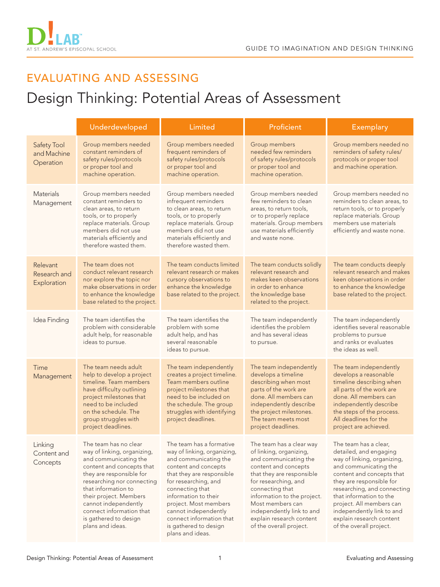

## EVALUATING AND ASSESSING

## Design Thinking: Potential Areas of Assessment

|                                         | Underdeveloped                                                                                                                                                                                                                                                                                                         | Limited                                                                                                                                                                                                                                                                                                                            | Proficient                                                                                                                                                                                                                                                                                                          | <b>Exemplary</b>                                                                                                                                                                                                                                                                                                                           |
|-----------------------------------------|------------------------------------------------------------------------------------------------------------------------------------------------------------------------------------------------------------------------------------------------------------------------------------------------------------------------|------------------------------------------------------------------------------------------------------------------------------------------------------------------------------------------------------------------------------------------------------------------------------------------------------------------------------------|---------------------------------------------------------------------------------------------------------------------------------------------------------------------------------------------------------------------------------------------------------------------------------------------------------------------|--------------------------------------------------------------------------------------------------------------------------------------------------------------------------------------------------------------------------------------------------------------------------------------------------------------------------------------------|
| Safety Tool<br>and Machine<br>Operation | Group members needed<br>constant reminders of<br>safety rules/protocols<br>or proper tool and<br>machine operation.                                                                                                                                                                                                    | Group members needed<br>frequent reminders of<br>safety rules/protocols<br>or proper tool and<br>machine operation.                                                                                                                                                                                                                | Group members<br>needed few reminders<br>of safety rules/protocols<br>or proper tool and<br>machine operation.                                                                                                                                                                                                      | Group members needed no<br>reminders of safety rules/<br>protocols or proper tool<br>and machine operation.                                                                                                                                                                                                                                |
| <b>Materials</b><br>Management          | Group members needed<br>constant reminders to<br>clean areas, to return<br>tools, or to properly<br>replace materials. Group<br>members did not use<br>materials efficiently and<br>therefore wasted them.                                                                                                             | Group members needed<br>infrequent reminders<br>to clean areas, to return<br>tools, or to properly<br>replace materials. Group<br>members did not use<br>materials efficiently and<br>therefore wasted them.                                                                                                                       | Group members needed<br>few reminders to clean<br>areas, to return tools,<br>or to properly replace<br>materials. Group members<br>use materials efficiently<br>and waste none.                                                                                                                                     | Group members needed no<br>reminders to clean areas, to<br>return tools, or to properly<br>replace materials. Group<br>members use materials<br>efficiently and waste none.                                                                                                                                                                |
| Relevant<br>Research and<br>Exploration | The team does not<br>conduct relevant research<br>nor explore the topic nor<br>make observations in order<br>to enhance the knowledge<br>base related to the project.                                                                                                                                                  | The team conducts limited<br>relevant research or makes<br>cursory observations to<br>enhance the knowledge<br>base related to the project.                                                                                                                                                                                        | The team conducts solidly<br>relevant research and<br>makes keen observations<br>in order to enhance<br>the knowledge base<br>related to the project.                                                                                                                                                               | The team conducts deeply<br>relevant research and makes<br>keen observations in order<br>to enhance the knowledge<br>base related to the project.                                                                                                                                                                                          |
| Idea Finding                            | The team identifies the<br>problem with considerable<br>adult help, for reasonable<br>ideas to pursue.                                                                                                                                                                                                                 | The team identifies the<br>problem with some<br>adult help, and has<br>several reasonable<br>ideas to pursue.                                                                                                                                                                                                                      | The team independently<br>identifies the problem<br>and has several ideas<br>to pursue.                                                                                                                                                                                                                             | The team independently<br>identifies several reasonable<br>problems to pursue<br>and ranks or evaluates<br>the ideas as well.                                                                                                                                                                                                              |
| Time<br>Management                      | The team needs adult<br>help to develop a project<br>timeline. Team members<br>have difficulty outlining<br>project milestones that<br>need to be included<br>on the schedule. The<br>group struggles with<br>project deadlines.                                                                                       | The team independently<br>creates a project timeline.<br>Team members outline<br>project milestones that<br>need to be included on<br>the schedule. The group<br>struggles with identifying<br>project deadlines.                                                                                                                  | The team independently<br>develops a timeline<br>describing when most<br>parts of the work are<br>done. All members can<br>independently describe<br>the project milestones.<br>The team meets most<br>project deadlines.                                                                                           | The team independently<br>develops a reasonable<br>timeline describing when<br>all parts of the work are<br>done. All members can<br>independently describe<br>the steps of the process.<br>All deadlines for the<br>project are achieved.                                                                                                 |
| Linking<br>Content and<br>Concepts      | The team has no clear<br>way of linking, organizing,<br>and communicating the<br>content and concepts that<br>they are responsible for<br>researching nor connecting<br>that information to<br>their project. Members<br>cannot independently<br>connect information that<br>is gathered to design<br>plans and ideas. | The team has a formative<br>way of linking, organizing,<br>and communicating the<br>content and concepts<br>that they are responsible<br>for researching, and<br>connecting that<br>information to their<br>project. Most members<br>cannot independently<br>connect information that<br>is gathered to design<br>plans and ideas. | The team has a clear way<br>of linking, organizing,<br>and communicating the<br>content and concepts<br>that they are responsible<br>for researching, and<br>connecting that<br>information to the project.<br>Most members can<br>independently link to and<br>explain research content<br>of the overall project. | The team has a clear,<br>detailed, and engaging<br>way of linking, organizing,<br>and communicating the<br>content and concepts that<br>they are responsible for<br>researching, and connecting<br>that information to the<br>project. All members can<br>independently link to and<br>explain research content<br>of the overall project. |